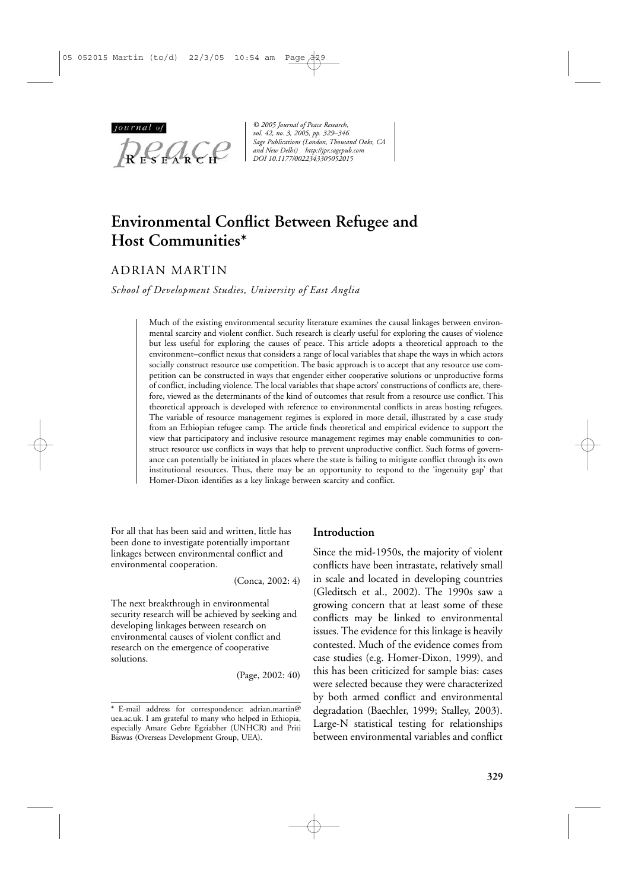

*© 2005 Journal of Peace Research, vol. 42, no. 3, 2005, pp. 329–346 Sage Publications (London, Thousand Oaks, CA and New Delhi) http://jpr.sagepub.com DOI 10.1177/0022343305052015*

# **Environmental Conflict Between Refugee and Host Communities\***

## ADRIAN MARTIN

*School of Development Studies, University of East Anglia*

Much of the existing environmental security literature examines the causal linkages between environmental scarcity and violent conflict. Such research is clearly useful for exploring the causes of violence but less useful for exploring the causes of peace. This article adopts a theoretical approach to the environment–conflict nexus that considers a range of local variables that shape the ways in which actors socially construct resource use competition. The basic approach is to accept that any resource use competition can be constructed in ways that engender either cooperative solutions or unproductive forms of conflict, including violence. The local variables that shape actors' constructions of conflicts are, therefore, viewed as the determinants of the kind of outcomes that result from a resource use conflict. This theoretical approach is developed with reference to environmental conflicts in areas hosting refugees. The variable of resource management regimes is explored in more detail, illustrated by a case study from an Ethiopian refugee camp. The article finds theoretical and empirical evidence to support the view that participatory and inclusive resource management regimes may enable communities to construct resource use conflicts in ways that help to prevent unproductive conflict. Such forms of governance can potentially be initiated in places where the state is failing to mitigate conflict through its own institutional resources. Thus, there may be an opportunity to respond to the 'ingenuity gap' that Homer-Dixon identifies as a key linkage between scarcity and conflict.

For all that has been said and written, little has been done to investigate potentially important linkages between environmental conflict and environmental cooperation.

(Conca, 2002: 4)

The next breakthrough in environmental security research will be achieved by seeking and developing linkages between research on environmental causes of violent conflict and research on the emergence of cooperative solutions.

(Page, 2002: 40)

#### **Introduction**

Since the mid-1950s, the majority of violent conflicts have been intrastate, relatively small in scale and located in developing countries (Gleditsch et al., 2002). The 1990s saw a growing concern that at least some of these conflicts may be linked to environmental issues. The evidence for this linkage is heavily contested. Much of the evidence comes from case studies (e.g. Homer-Dixon, 1999), and this has been criticized for sample bias: cases were selected because they were characterized by both armed conflict and environmental degradation (Baechler, 1999; Stalley, 2003). Large-N statistical testing for relationships between environmental variables and conflict

<sup>\*</sup> E-mail address for correspondence: adrian.martin@ uea.ac.uk. I am grateful to many who helped in Ethiopia, especially Amare Gebre Egziabher (UNHCR) and Priti Biswas (Overseas Development Group, UEA).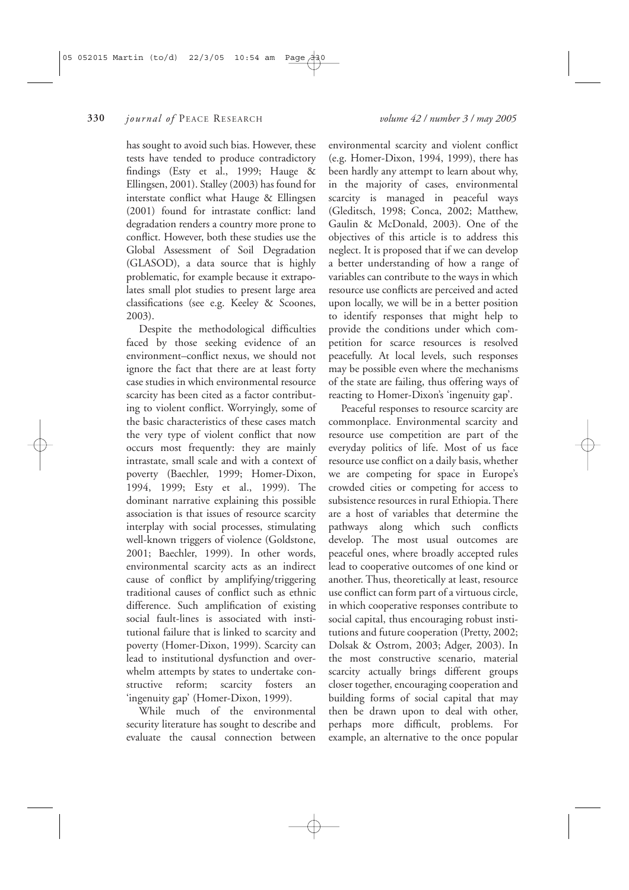2003).

has sought to avoid such bias. However, these tests have tended to produce contradictory findings (Esty et al., 1999; Hauge & Ellingsen, 2001). Stalley (2003) has found for interstate conflict what Hauge & Ellingsen (2001) found for intrastate conflict: land degradation renders a country more prone to conflict. However, both these studies use the Global Assessment of Soil Degradation (GLASOD), a data source that is highly problematic, for example because it extrapolates small plot studies to present large area classifications (see e.g. Keeley & Scoones,

Despite the methodological difficulties faced by those seeking evidence of an environment–conflict nexus, we should not ignore the fact that there are at least forty case studies in which environmental resource scarcity has been cited as a factor contributing to violent conflict. Worryingly, some of the basic characteristics of these cases match the very type of violent conflict that now occurs most frequently: they are mainly intrastate, small scale and with a context of poverty (Baechler, 1999; Homer-Dixon, 1994, 1999; Esty et al., 1999). The dominant narrative explaining this possible association is that issues of resource scarcity interplay with social processes, stimulating well-known triggers of violence (Goldstone, 2001; Baechler, 1999). In other words, environmental scarcity acts as an indirect cause of conflict by amplifying/triggering traditional causes of conflict such as ethnic difference. Such amplification of existing social fault-lines is associated with institutional failure that is linked to scarcity and poverty (Homer-Dixon, 1999). Scarcity can lead to institutional dysfunction and overwhelm attempts by states to undertake constructive reform; scarcity fosters an 'ingenuity gap' (Homer-Dixon, 1999).

While much of the environmental security literature has sought to describe and evaluate the causal connection between

environmental scarcity and violent conflict (e.g. Homer-Dixon, 1994, 1999), there has been hardly any attempt to learn about why, in the majority of cases, environmental scarcity is managed in peaceful ways (Gleditsch, 1998; Conca, 2002; Matthew, Gaulin & McDonald, 2003). One of the objectives of this article is to address this neglect. It is proposed that if we can develop a better understanding of how a range of variables can contribute to the ways in which resource use conflicts are perceived and acted upon locally, we will be in a better position to identify responses that might help to provide the conditions under which competition for scarce resources is resolved peacefully. At local levels, such responses may be possible even where the mechanisms of the state are failing, thus offering ways of reacting to Homer-Dixon's 'ingenuity gap'.

Peaceful responses to resource scarcity are commonplace. Environmental scarcity and resource use competition are part of the everyday politics of life. Most of us face resource use conflict on a daily basis, whether we are competing for space in Europe's crowded cities or competing for access to subsistence resources in rural Ethiopia. There are a host of variables that determine the pathways along which such conflicts develop. The most usual outcomes are peaceful ones, where broadly accepted rules lead to cooperative outcomes of one kind or another. Thus, theoretically at least, resource use conflict can form part of a virtuous circle, in which cooperative responses contribute to social capital, thus encouraging robust institutions and future cooperation (Pretty, 2002; Dolsak & Ostrom, 2003; Adger, 2003). In the most constructive scenario, material scarcity actually brings different groups closer together, encouraging cooperation and building forms of social capital that may then be drawn upon to deal with other, perhaps more difficult, problems. For example, an alternative to the once popular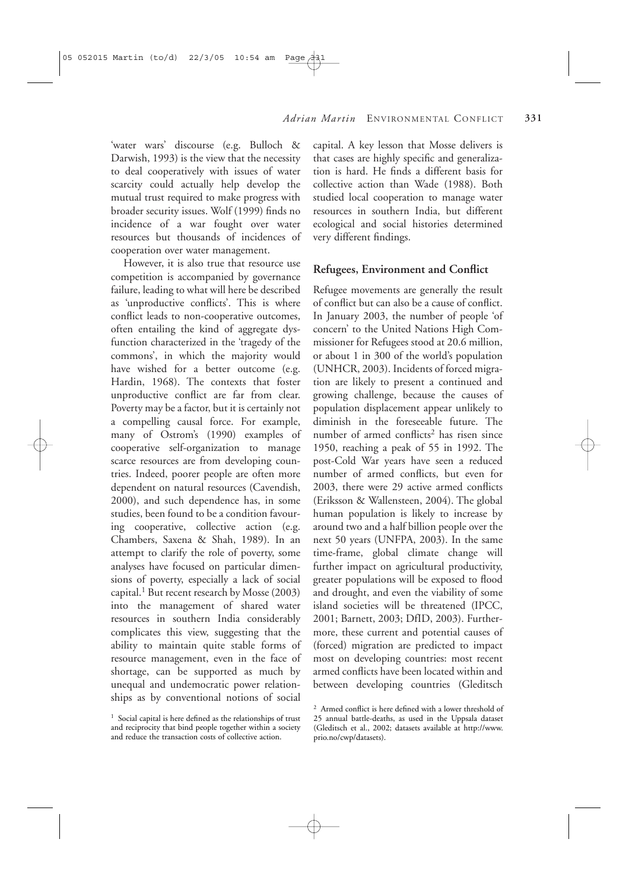'water wars' discourse (e.g. Bulloch & Darwish, 1993) is the view that the necessity to deal cooperatively with issues of water scarcity could actually help develop the mutual trust required to make progress with broader security issues. Wolf (1999) finds no incidence of a war fought over water resources but thousands of incidences of cooperation over water management.

However, it is also true that resource use competition is accompanied by governance failure, leading to what will here be described as 'unproductive conflicts'. This is where conflict leads to non-cooperative outcomes, often entailing the kind of aggregate dysfunction characterized in the 'tragedy of the commons', in which the majority would have wished for a better outcome (e.g. Hardin, 1968). The contexts that foster unproductive conflict are far from clear. Poverty may be a factor, but it is certainly not a compelling causal force. For example, many of Ostrom's (1990) examples of cooperative self-organization to manage scarce resources are from developing countries. Indeed, poorer people are often more dependent on natural resources (Cavendish, 2000), and such dependence has, in some studies, been found to be a condition favouring cooperative, collective action (e.g. Chambers, Saxena & Shah, 1989). In an attempt to clarify the role of poverty, some analyses have focused on particular dimensions of poverty, especially a lack of social capital.1 But recent research by Mosse (2003) into the management of shared water resources in southern India considerably complicates this view, suggesting that the ability to maintain quite stable forms of resource management, even in the face of shortage, can be supported as much by unequal and undemocratic power relationships as by conventional notions of social

capital. A key lesson that Mosse delivers is that cases are highly specific and generalization is hard. He finds a different basis for collective action than Wade (1988). Both studied local cooperation to manage water resources in southern India, but different ecological and social histories determined very different findings.

### **Refugees, Environment and Conflict**

Refugee movements are generally the result of conflict but can also be a cause of conflict. In January 2003, the number of people 'of concern' to the United Nations High Commissioner for Refugees stood at 20.6 million, or about 1 in 300 of the world's population (UNHCR, 2003). Incidents of forced migration are likely to present a continued and growing challenge, because the causes of population displacement appear unlikely to diminish in the foreseeable future. The number of armed conflicts<sup>2</sup> has risen since 1950, reaching a peak of 55 in 1992. The post-Cold War years have seen a reduced number of armed conflicts, but even for 2003, there were 29 active armed conflicts (Eriksson & Wallensteen, 2004). The global human population is likely to increase by around two and a half billion people over the next 50 years (UNFPA, 2003). In the same time-frame, global climate change will further impact on agricultural productivity, greater populations will be exposed to flood and drought, and even the viability of some island societies will be threatened (IPCC, 2001; Barnett, 2003; DfID, 2003). Furthermore, these current and potential causes of (forced) migration are predicted to impact most on developing countries: most recent armed conflicts have been located within and between developing countries (Gleditsch

<sup>&</sup>lt;sup>1</sup> Social capital is here defined as the relationships of trust and reciprocity that bind people together within a society and reduce the transaction costs of collective action.

<sup>2</sup> Armed conflict is here defined with a lower threshold of 25 annual battle-deaths, as used in the Uppsala dataset (Gleditsch et al., 2002; datasets available at http://www. prio.no/cwp/datasets).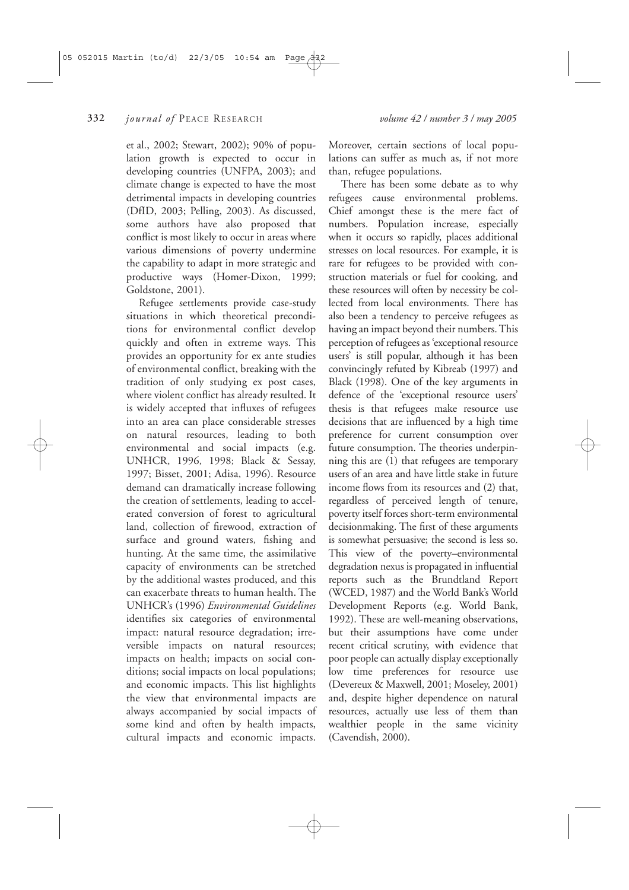et al., 2002; Stewart, 2002); 90% of population growth is expected to occur in developing countries (UNFPA, 2003); and climate change is expected to have the most detrimental impacts in developing countries (DfID, 2003; Pelling, 2003). As discussed, some authors have also proposed that conflict is most likely to occur in areas where various dimensions of poverty undermine the capability to adapt in more strategic and productive ways (Homer-Dixon, 1999; Goldstone, 2001).

Refugee settlements provide case-study situations in which theoretical preconditions for environmental conflict develop quickly and often in extreme ways. This provides an opportunity for ex ante studies of environmental conflict, breaking with the tradition of only studying ex post cases, where violent conflict has already resulted. It is widely accepted that influxes of refugees into an area can place considerable stresses on natural resources, leading to both environmental and social impacts (e.g. UNHCR, 1996, 1998; Black & Sessay, 1997; Bisset, 2001; Adisa, 1996). Resource demand can dramatically increase following the creation of settlements, leading to accelerated conversion of forest to agricultural land, collection of firewood, extraction of surface and ground waters, fishing and hunting. At the same time, the assimilative capacity of environments can be stretched by the additional wastes produced, and this can exacerbate threats to human health. The UNHCR's (1996) *Environmental Guidelines* identifies six categories of environmental impact: natural resource degradation; irreversible impacts on natural resources; impacts on health; impacts on social conditions; social impacts on local populations; and economic impacts. This list highlights the view that environmental impacts are always accompanied by social impacts of some kind and often by health impacts, cultural impacts and economic impacts.

Moreover, certain sections of local populations can suffer as much as, if not more than, refugee populations.

There has been some debate as to why refugees cause environmental problems. Chief amongst these is the mere fact of numbers. Population increase, especially when it occurs so rapidly, places additional stresses on local resources. For example, it is rare for refugees to be provided with construction materials or fuel for cooking, and these resources will often by necessity be collected from local environments. There has also been a tendency to perceive refugees as having an impact beyond their numbers. This perception of refugees as 'exceptional resource users' is still popular, although it has been convincingly refuted by Kibreab (1997) and Black (1998). One of the key arguments in defence of the 'exceptional resource users' thesis is that refugees make resource use decisions that are influenced by a high time preference for current consumption over future consumption. The theories underpinning this are (1) that refugees are temporary users of an area and have little stake in future income flows from its resources and (2) that, regardless of perceived length of tenure, poverty itself forces short-term environmental decisionmaking. The first of these arguments is somewhat persuasive; the second is less so. This view of the poverty–environmental degradation nexus is propagated in influential reports such as the Brundtland Report (WCED, 1987) and the World Bank's World Development Reports (e.g. World Bank, 1992). These are well-meaning observations, but their assumptions have come under recent critical scrutiny, with evidence that poor people can actually display exceptionally low time preferences for resource use (Devereux & Maxwell, 2001; Moseley, 2001) and, despite higher dependence on natural resources, actually use less of them than wealthier people in the same vicinity (Cavendish, 2000).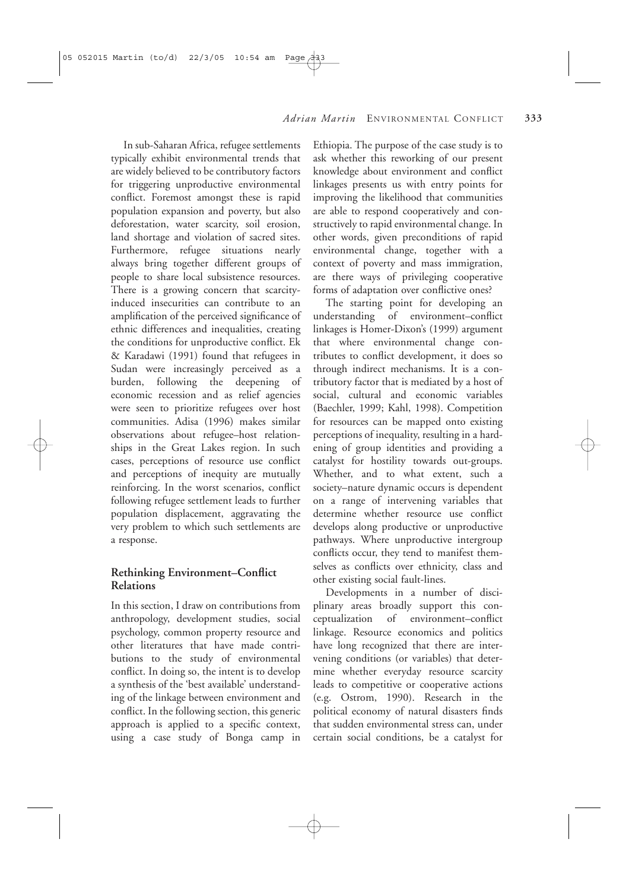In sub-Saharan Africa, refugee settlements typically exhibit environmental trends that are widely believed to be contributory factors for triggering unproductive environmental conflict. Foremost amongst these is rapid population expansion and poverty, but also deforestation, water scarcity, soil erosion, land shortage and violation of sacred sites. Furthermore, refugee situations nearly always bring together different groups of people to share local subsistence resources. There is a growing concern that scarcityinduced insecurities can contribute to an amplification of the perceived significance of ethnic differences and inequalities, creating the conditions for unproductive conflict. Ek & Karadawi (1991) found that refugees in Sudan were increasingly perceived as a burden, following the deepening of economic recession and as relief agencies were seen to prioritize refugees over host communities. Adisa (1996) makes similar observations about refugee–host relationships in the Great Lakes region. In such cases, perceptions of resource use conflict and perceptions of inequity are mutually reinforcing. In the worst scenarios, conflict following refugee settlement leads to further population displacement, aggravating the very problem to which such settlements are a response.

## **Rethinking Environment–Conflict Relations**

In this section, I draw on contributions from anthropology, development studies, social psychology, common property resource and other literatures that have made contributions to the study of environmental conflict. In doing so, the intent is to develop a synthesis of the 'best available' understanding of the linkage between environment and conflict. In the following section, this generic approach is applied to a specific context, using a case study of Bonga camp in

Ethiopia. The purpose of the case study is to ask whether this reworking of our present knowledge about environment and conflict linkages presents us with entry points for improving the likelihood that communities are able to respond cooperatively and constructively to rapid environmental change. In other words, given preconditions of rapid environmental change, together with a context of poverty and mass immigration, are there ways of privileging cooperative forms of adaptation over conflictive ones?

The starting point for developing an understanding of environment–conflict linkages is Homer-Dixon's (1999) argument that where environmental change contributes to conflict development, it does so through indirect mechanisms. It is a contributory factor that is mediated by a host of social, cultural and economic variables (Baechler, 1999; Kahl, 1998). Competition for resources can be mapped onto existing perceptions of inequality, resulting in a hardening of group identities and providing a catalyst for hostility towards out-groups. Whether, and to what extent, such a society–nature dynamic occurs is dependent on a range of intervening variables that determine whether resource use conflict develops along productive or unproductive pathways. Where unproductive intergroup conflicts occur, they tend to manifest themselves as conflicts over ethnicity, class and other existing social fault-lines.

Developments in a number of disciplinary areas broadly support this conceptualization of environment–conflict linkage. Resource economics and politics have long recognized that there are intervening conditions (or variables) that determine whether everyday resource scarcity leads to competitive or cooperative actions (e.g. Ostrom, 1990). Research in the political economy of natural disasters finds that sudden environmental stress can, under certain social conditions, be a catalyst for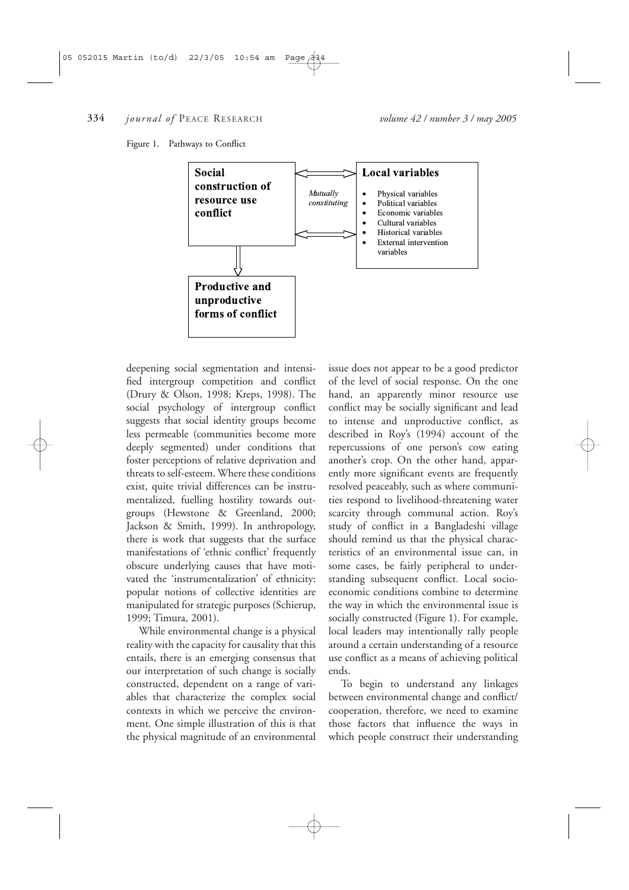



deepening social segmentation and intensified intergroup competition and conflict (Drury & Olson, 1998; Kreps, 1998). The social psychology of intergroup conflict suggests that social identity groups become less permeable (communities become more deeply segmented) under conditions that foster perceptions of relative deprivation and threats to self-esteem. Where these conditions exist, quite trivial differences can be instrumentalized, fuelling hostility towards outgroups (Hewstone & Greenland, 2000; Jackson & Smith, 1999). In anthropology, there is work that suggests that the surface manifestations of 'ethnic conflict' frequently obscure underlying causes that have motivated the 'instrumentalization' of ethnicity: popular notions of collective identities are manipulated for strategic purposes (Schierup, 1999; Timura, 2001).

While environmental change is a physical reality with the capacity for causality that this entails, there is an emerging consensus that our interpretation of such change is socially constructed, dependent on a range of variables that characterize the complex social contexts in which we perceive the environment. One simple illustration of this is that the physical magnitude of an environmental

issue does not appear to be a good predictor of the level of social response. On the one hand, an apparently minor resource use conflict may be socially significant and lead to intense and unproductive conflict, as described in Roy's (1994) account of the repercussions of one person's cow eating another's crop. On the other hand, apparently more significant events are frequently resolved peaceably, such as where communities respond to livelihood-threatening water scarcity through communal action. Roy's study of conflict in a Bangladeshi village should remind us that the physical characteristics of an environmental issue can, in some cases, be fairly peripheral to understanding subsequent conflict. Local socioeconomic conditions combine to determine the way in which the environmental issue is socially constructed (Figure 1). For example, local leaders may intentionally rally people around a certain understanding of a resource use conflict as a means of achieving political ends.

To begin to understand any linkages between environmental change and conflict/ cooperation, therefore, we need to examine those factors that influence the ways in which people construct their understanding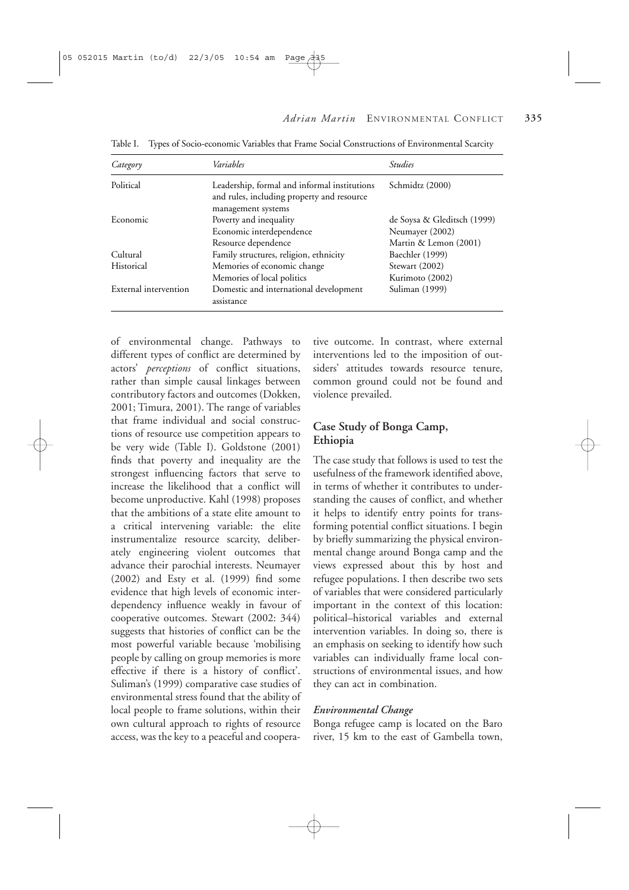| Category              | Variables                                                                                                        | <i><u>Studies</u></i>                                                   |
|-----------------------|------------------------------------------------------------------------------------------------------------------|-------------------------------------------------------------------------|
| Political             | Leadership, formal and informal institutions<br>and rules, including property and resource<br>management systems | Schmidtz (2000)                                                         |
| Economic              | Poverty and inequality<br>Economic interdependence<br>Resource dependence                                        | de Soysa & Gleditsch (1999)<br>Neumayer (2002)<br>Martin & Lemon (2001) |
| Cultural              | Family structures, religion, ethnicity                                                                           | Baechler (1999)                                                         |
| Historical            | Memories of economic change                                                                                      | Stewart (2002)                                                          |
|                       | Memories of local politics                                                                                       | Kurimoto (2002)                                                         |
| External intervention | Domestic and international development<br>assistance                                                             | Suliman (1999)                                                          |

Table I. Types of Socio-economic Variables that Frame Social Constructions of Environmental Scarcity

of environmental change. Pathways to different types of conflict are determined by actors' *perceptions* of conflict situations, rather than simple causal linkages between contributory factors and outcomes (Dokken, 2001; Timura, 2001). The range of variables that frame individual and social constructions of resource use competition appears to be very wide (Table I). Goldstone (2001) finds that poverty and inequality are the strongest influencing factors that serve to increase the likelihood that a conflict will become unproductive. Kahl (1998) proposes that the ambitions of a state elite amount to a critical intervening variable: the elite instrumentalize resource scarcity, deliberately engineering violent outcomes that advance their parochial interests. Neumayer (2002) and Esty et al. (1999) find some evidence that high levels of economic interdependency influence weakly in favour of cooperative outcomes. Stewart (2002: 344) suggests that histories of conflict can be the most powerful variable because 'mobilising people by calling on group memories is more effective if there is a history of conflict'. Suliman's (1999) comparative case studies of environmental stress found that the ability of local people to frame solutions, within their own cultural approach to rights of resource access, was the key to a peaceful and cooperative outcome. In contrast, where external interventions led to the imposition of outsiders' attitudes towards resource tenure, common ground could not be found and violence prevailed.

## **Case Study of Bonga Camp, Ethiopia**

The case study that follows is used to test the usefulness of the framework identified above, in terms of whether it contributes to understanding the causes of conflict, and whether it helps to identify entry points for transforming potential conflict situations. I begin by briefly summarizing the physical environmental change around Bonga camp and the views expressed about this by host and refugee populations. I then describe two sets of variables that were considered particularly important in the context of this location: political–historical variables and external intervention variables. In doing so, there is an emphasis on seeking to identify how such variables can individually frame local constructions of environmental issues, and how they can act in combination.

#### *Environmental Change*

Bonga refugee camp is located on the Baro river, 15 km to the east of Gambella town,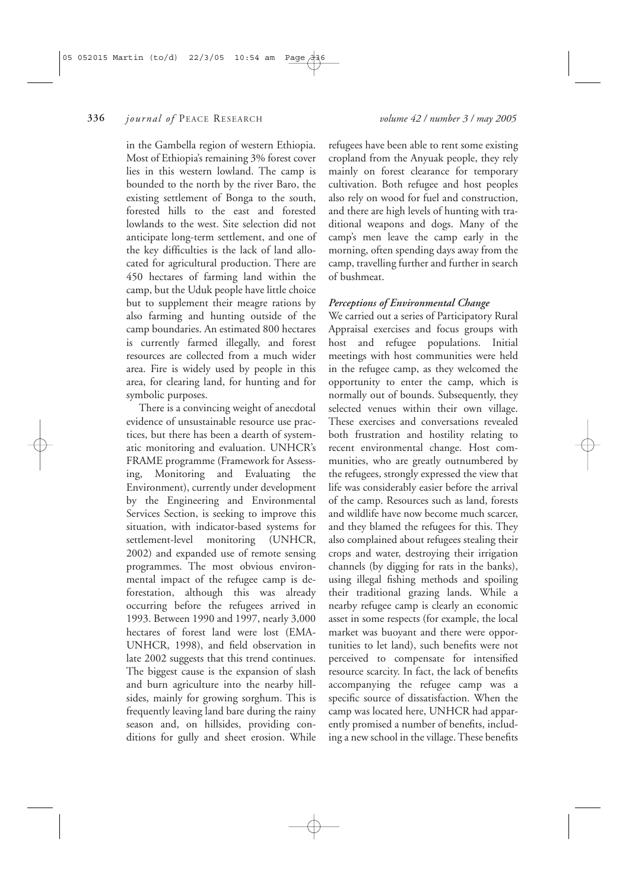in the Gambella region of western Ethiopia. Most of Ethiopia's remaining 3% forest cover lies in this western lowland. The camp is bounded to the north by the river Baro, the existing settlement of Bonga to the south, forested hills to the east and forested lowlands to the west. Site selection did not anticipate long-term settlement, and one of the key difficulties is the lack of land allocated for agricultural production. There are 450 hectares of farming land within the camp, but the Uduk people have little choice but to supplement their meagre rations by also farming and hunting outside of the camp boundaries. An estimated 800 hectares is currently farmed illegally, and forest resources are collected from a much wider area. Fire is widely used by people in this area, for clearing land, for hunting and for symbolic purposes.

There is a convincing weight of anecdotal evidence of unsustainable resource use practices, but there has been a dearth of systematic monitoring and evaluation. UNHCR's FRAME programme (Framework for Assessing, Monitoring and Evaluating the Environment), currently under development by the Engineering and Environmental Services Section, is seeking to improve this situation, with indicator-based systems for settlement-level monitoring (UNHCR, 2002) and expanded use of remote sensing programmes. The most obvious environmental impact of the refugee camp is deforestation, although this was already occurring before the refugees arrived in 1993. Between 1990 and 1997, nearly 3,000 hectares of forest land were lost (EMA-UNHCR, 1998), and field observation in late 2002 suggests that this trend continues. The biggest cause is the expansion of slash and burn agriculture into the nearby hillsides, mainly for growing sorghum. This is frequently leaving land bare during the rainy season and, on hillsides, providing conditions for gully and sheet erosion. While

refugees have been able to rent some existing cropland from the Anyuak people, they rely mainly on forest clearance for temporary cultivation. Both refugee and host peoples also rely on wood for fuel and construction, and there are high levels of hunting with traditional weapons and dogs. Many of the camp's men leave the camp early in the morning, often spending days away from the camp, travelling further and further in search of bushmeat.

## *Perceptions of Environmental Change*

We carried out a series of Participatory Rural Appraisal exercises and focus groups with host and refugee populations. Initial meetings with host communities were held in the refugee camp, as they welcomed the opportunity to enter the camp, which is normally out of bounds. Subsequently, they selected venues within their own village. These exercises and conversations revealed both frustration and hostility relating to recent environmental change. Host communities, who are greatly outnumbered by the refugees, strongly expressed the view that life was considerably easier before the arrival of the camp. Resources such as land, forests and wildlife have now become much scarcer, and they blamed the refugees for this. They also complained about refugees stealing their crops and water, destroying their irrigation channels (by digging for rats in the banks), using illegal fishing methods and spoiling their traditional grazing lands. While a nearby refugee camp is clearly an economic asset in some respects (for example, the local market was buoyant and there were opportunities to let land), such benefits were not perceived to compensate for intensified resource scarcity. In fact, the lack of benefits accompanying the refugee camp was a specific source of dissatisfaction. When the camp was located here, UNHCR had apparently promised a number of benefits, including a new school in the village. These benefits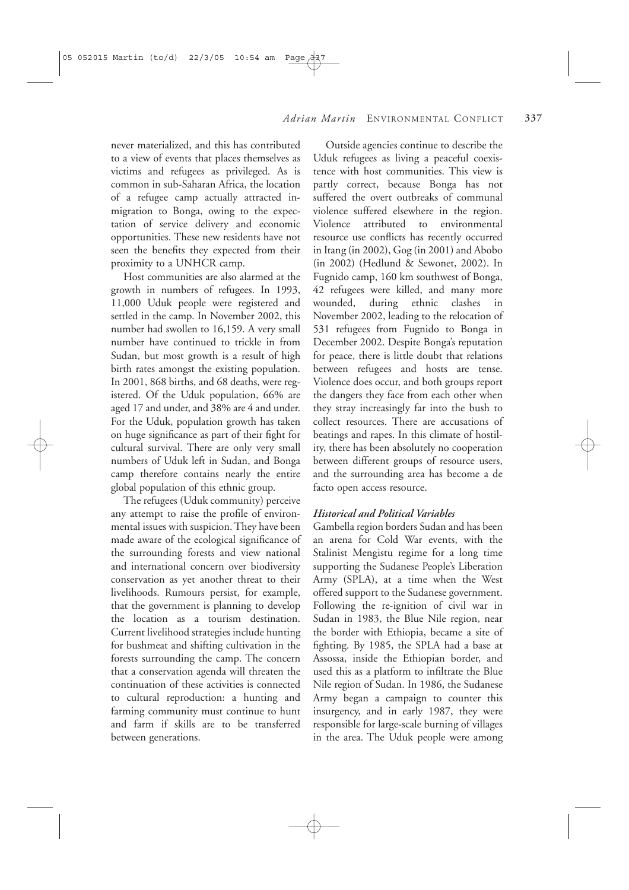never materialized, and this has contributed to a view of events that places themselves as victims and refugees as privileged. As is common in sub-Saharan Africa, the location of a refugee camp actually attracted inmigration to Bonga, owing to the expectation of service delivery and economic opportunities. These new residents have not seen the benefits they expected from their proximity to a UNHCR camp.

Host communities are also alarmed at the growth in numbers of refugees. In 1993, 11,000 Uduk people were registered and settled in the camp. In November 2002, this number had swollen to 16,159. A very small number have continued to trickle in from Sudan, but most growth is a result of high birth rates amongst the existing population. In 2001, 868 births, and 68 deaths, were registered. Of the Uduk population, 66% are aged 17 and under, and 38% are 4 and under. For the Uduk, population growth has taken on huge significance as part of their fight for cultural survival. There are only very small numbers of Uduk left in Sudan, and Bonga camp therefore contains nearly the entire global population of this ethnic group.

The refugees (Uduk community) perceive any attempt to raise the profile of environmental issues with suspicion. They have been made aware of the ecological significance of the surrounding forests and view national and international concern over biodiversity conservation as yet another threat to their livelihoods. Rumours persist, for example, that the government is planning to develop the location as a tourism destination. Current livelihood strategies include hunting for bushmeat and shifting cultivation in the forests surrounding the camp. The concern that a conservation agenda will threaten the continuation of these activities is connected to cultural reproduction: a hunting and farming community must continue to hunt and farm if skills are to be transferred between generations.

Outside agencies continue to describe the Uduk refugees as living a peaceful coexistence with host communities. This view is partly correct, because Bonga has not suffered the overt outbreaks of communal violence suffered elsewhere in the region. Violence attributed to environmental resource use conflicts has recently occurred in Itang (in 2002), Gog (in 2001) and Abobo (in 2002) (Hedlund & Sewonet, 2002). In Fugnido camp, 160 km southwest of Bonga, 42 refugees were killed, and many more wounded, during ethnic clashes in November 2002, leading to the relocation of 531 refugees from Fugnido to Bonga in December 2002. Despite Bonga's reputation for peace, there is little doubt that relations between refugees and hosts are tense. Violence does occur, and both groups report the dangers they face from each other when they stray increasingly far into the bush to collect resources. There are accusations of beatings and rapes. In this climate of hostility, there has been absolutely no cooperation between different groups of resource users, and the surrounding area has become a de facto open access resource.

#### *Historical and Political Variables*

Gambella region borders Sudan and has been an arena for Cold War events, with the Stalinist Mengistu regime for a long time supporting the Sudanese People's Liberation Army (SPLA), at a time when the West offered support to the Sudanese government. Following the re-ignition of civil war in Sudan in 1983, the Blue Nile region, near the border with Ethiopia, became a site of fighting. By 1985, the SPLA had a base at Assossa, inside the Ethiopian border, and used this as a platform to infiltrate the Blue Nile region of Sudan. In 1986, the Sudanese Army began a campaign to counter this insurgency, and in early 1987, they were responsible for large-scale burning of villages in the area. The Uduk people were among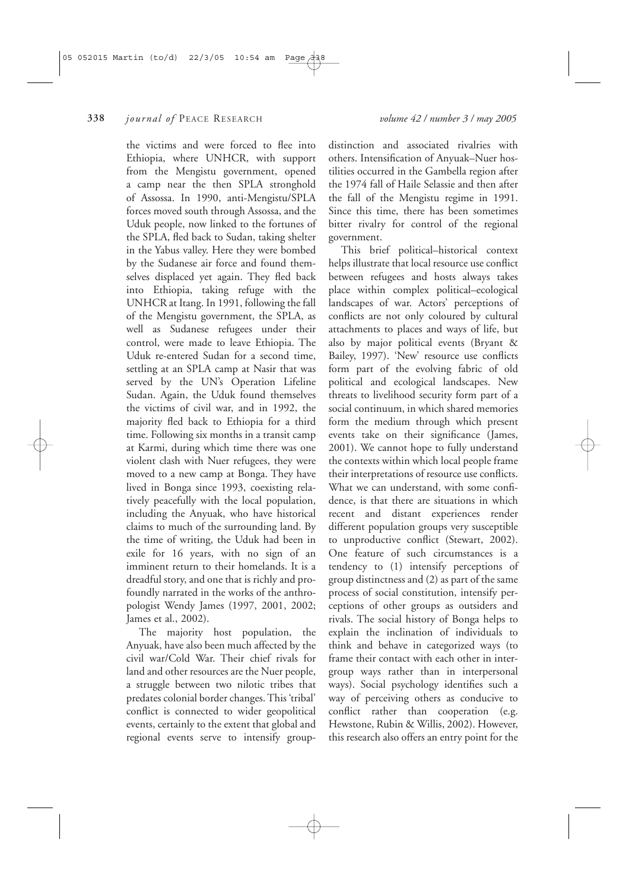the victims and were forced to flee into Ethiopia, where UNHCR, with support from the Mengistu government, opened a camp near the then SPLA stronghold of Assossa. In 1990, anti-Mengistu/SPLA forces moved south through Assossa, and the Uduk people, now linked to the fortunes of the SPLA, fled back to Sudan, taking shelter in the Yabus valley. Here they were bombed by the Sudanese air force and found themselves displaced yet again. They fled back into Ethiopia, taking refuge with the UNHCR at Itang. In 1991, following the fall of the Mengistu government, the SPLA, as well as Sudanese refugees under their control, were made to leave Ethiopia. The Uduk re-entered Sudan for a second time, settling at an SPLA camp at Nasir that was served by the UN's Operation Lifeline Sudan. Again, the Uduk found themselves the victims of civil war, and in 1992, the majority fled back to Ethiopia for a third time. Following six months in a transit camp at Karmi, during which time there was one violent clash with Nuer refugees, they were moved to a new camp at Bonga. They have lived in Bonga since 1993, coexisting relatively peacefully with the local population, including the Anyuak, who have historical claims to much of the surrounding land. By the time of writing, the Uduk had been in exile for 16 years, with no sign of an imminent return to their homelands. It is a dreadful story, and one that is richly and profoundly narrated in the works of the anthropologist Wendy James (1997, 2001, 2002; James et al., 2002).

The majority host population, the Anyuak, have also been much affected by the civil war/Cold War. Their chief rivals for land and other resources are the Nuer people, a struggle between two nilotic tribes that predates colonial border changes. This 'tribal' conflict is connected to wider geopolitical events, certainly to the extent that global and regional events serve to intensify groupdistinction and associated rivalries with others. Intensification of Anyuak–Nuer hostilities occurred in the Gambella region after the 1974 fall of Haile Selassie and then after the fall of the Mengistu regime in 1991. Since this time, there has been sometimes bitter rivalry for control of the regional government.

This brief political–historical context helps illustrate that local resource use conflict between refugees and hosts always takes place within complex political–ecological landscapes of war. Actors' perceptions of conflicts are not only coloured by cultural attachments to places and ways of life, but also by major political events (Bryant & Bailey, 1997). 'New' resource use conflicts form part of the evolving fabric of old political and ecological landscapes. New threats to livelihood security form part of a social continuum, in which shared memories form the medium through which present events take on their significance (James, 2001). We cannot hope to fully understand the contexts within which local people frame their interpretations of resource use conflicts. What we can understand, with some confidence, is that there are situations in which recent and distant experiences render different population groups very susceptible to unproductive conflict (Stewart, 2002). One feature of such circumstances is a tendency to (1) intensify perceptions of group distinctness and (2) as part of the same process of social constitution, intensify perceptions of other groups as outsiders and rivals. The social history of Bonga helps to explain the inclination of individuals to think and behave in categorized ways (to frame their contact with each other in intergroup ways rather than in interpersonal ways). Social psychology identifies such a way of perceiving others as conducive to conflict rather than cooperation (e.g. Hewstone, Rubin & Willis, 2002). However, this research also offers an entry point for the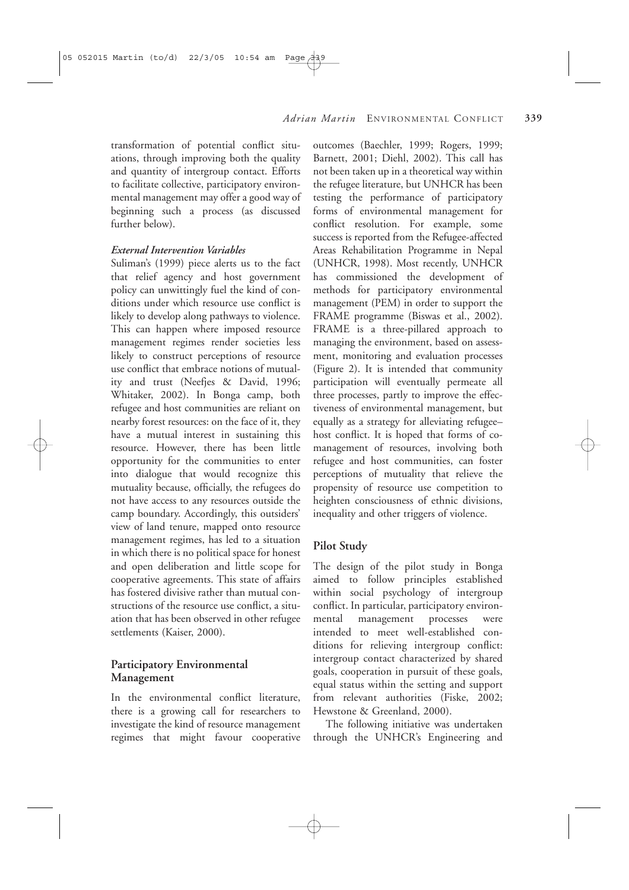transformation of potential conflict situations, through improving both the quality and quantity of intergroup contact. Efforts to facilitate collective, participatory environmental management may offer a good way of beginning such a process (as discussed further below).

#### *External Intervention Variables*

Suliman's (1999) piece alerts us to the fact that relief agency and host government policy can unwittingly fuel the kind of conditions under which resource use conflict is likely to develop along pathways to violence. This can happen where imposed resource management regimes render societies less likely to construct perceptions of resource use conflict that embrace notions of mutuality and trust (Neefjes & David, 1996; Whitaker, 2002). In Bonga camp, both refugee and host communities are reliant on nearby forest resources: on the face of it, they have a mutual interest in sustaining this resource. However, there has been little opportunity for the communities to enter into dialogue that would recognize this mutuality because, officially, the refugees do not have access to any resources outside the camp boundary. Accordingly, this outsiders' view of land tenure, mapped onto resource management regimes, has led to a situation in which there is no political space for honest and open deliberation and little scope for cooperative agreements. This state of affairs has fostered divisive rather than mutual constructions of the resource use conflict, a situation that has been observed in other refugee settlements (Kaiser, 2000).

## **Participatory Environmental Management**

In the environmental conflict literature, there is a growing call for researchers to investigate the kind of resource management regimes that might favour cooperative

outcomes (Baechler, 1999; Rogers, 1999; Barnett, 2001; Diehl, 2002). This call has not been taken up in a theoretical way within the refugee literature, but UNHCR has been testing the performance of participatory forms of environmental management for conflict resolution. For example, some success is reported from the Refugee-affected Areas Rehabilitation Programme in Nepal (UNHCR, 1998). Most recently, UNHCR has commissioned the development of methods for participatory environmental management (PEM) in order to support the FRAME programme (Biswas et al., 2002). FRAME is a three-pillared approach to managing the environment, based on assessment, monitoring and evaluation processes (Figure 2). It is intended that community participation will eventually permeate all three processes, partly to improve the effectiveness of environmental management, but equally as a strategy for alleviating refugee– host conflict. It is hoped that forms of comanagement of resources, involving both refugee and host communities, can foster perceptions of mutuality that relieve the propensity of resource use competition to heighten consciousness of ethnic divisions, inequality and other triggers of violence.

## **Pilot Study**

The design of the pilot study in Bonga aimed to follow principles established within social psychology of intergroup conflict. In particular, participatory environmental management processes were intended to meet well-established conditions for relieving intergroup conflict: intergroup contact characterized by shared goals, cooperation in pursuit of these goals, equal status within the setting and support from relevant authorities (Fiske, 2002; Hewstone & Greenland, 2000).

The following initiative was undertaken through the UNHCR's Engineering and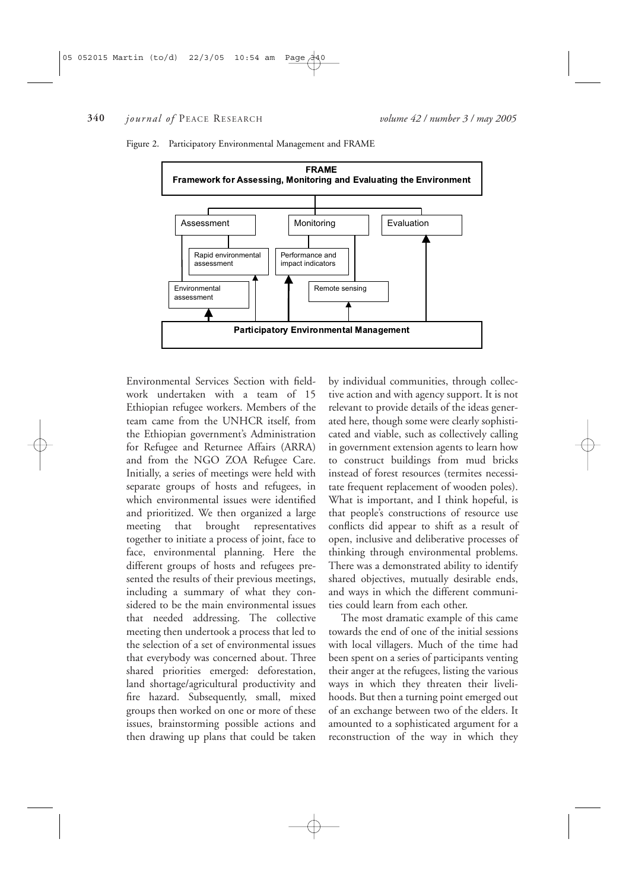

Figure 2. Participatory Environmental Management and FRAME

Environmental Services Section with fieldwork undertaken with a team of 15 Ethiopian refugee workers. Members of the team came from the UNHCR itself, from the Ethiopian government's Administration for Refugee and Returnee Affairs (ARRA) and from the NGO ZOA Refugee Care. Initially, a series of meetings were held with separate groups of hosts and refugees, in which environmental issues were identified and prioritized. We then organized a large meeting that brought representatives together to initiate a process of joint, face to face, environmental planning. Here the different groups of hosts and refugees presented the results of their previous meetings, including a summary of what they considered to be the main environmental issues that needed addressing. The collective meeting then undertook a process that led to the selection of a set of environmental issues that everybody was concerned about. Three shared priorities emerged: deforestation, land shortage/agricultural productivity and fire hazard. Subsequently, small, mixed groups then worked on one or more of these issues, brainstorming possible actions and then drawing up plans that could be taken

by individual communities, through collective action and with agency support. It is not relevant to provide details of the ideas generated here, though some were clearly sophisticated and viable, such as collectively calling in government extension agents to learn how to construct buildings from mud bricks instead of forest resources (termites necessitate frequent replacement of wooden poles). What is important, and I think hopeful, is that people's constructions of resource use conflicts did appear to shift as a result of open, inclusive and deliberative processes of thinking through environmental problems. There was a demonstrated ability to identify shared objectives, mutually desirable ends, and ways in which the different communities could learn from each other.

The most dramatic example of this came towards the end of one of the initial sessions with local villagers. Much of the time had been spent on a series of participants venting their anger at the refugees, listing the various ways in which they threaten their livelihoods. But then a turning point emerged out of an exchange between two of the elders. It amounted to a sophisticated argument for a reconstruction of the way in which they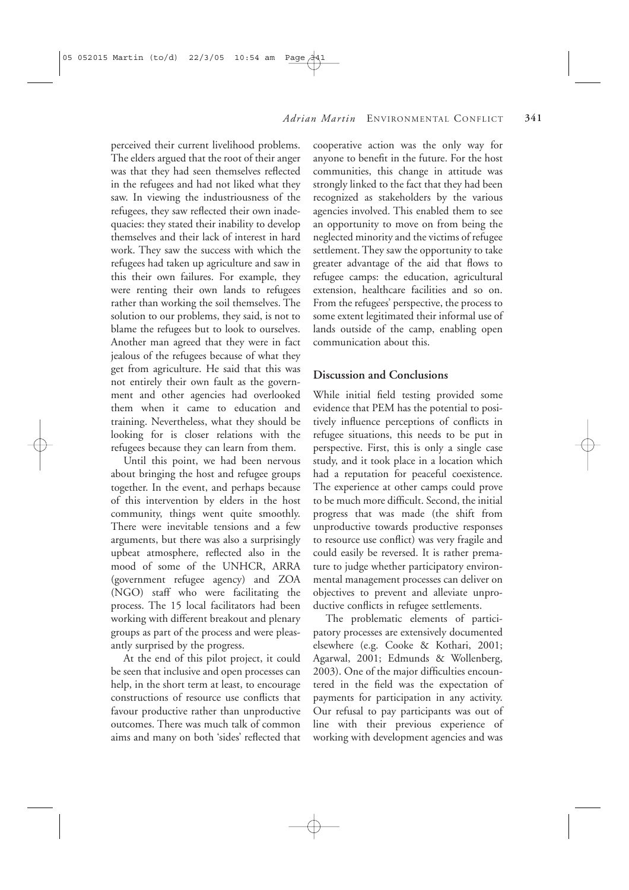perceived their current livelihood problems. The elders argued that the root of their anger was that they had seen themselves reflected in the refugees and had not liked what they saw. In viewing the industriousness of the refugees, they saw reflected their own inadequacies: they stated their inability to develop themselves and their lack of interest in hard work. They saw the success with which the refugees had taken up agriculture and saw in this their own failures. For example, they were renting their own lands to refugees rather than working the soil themselves. The solution to our problems, they said, is not to blame the refugees but to look to ourselves. Another man agreed that they were in fact jealous of the refugees because of what they get from agriculture. He said that this was not entirely their own fault as the government and other agencies had overlooked them when it came to education and training. Nevertheless, what they should be looking for is closer relations with the refugees because they can learn from them.

Until this point, we had been nervous about bringing the host and refugee groups together. In the event, and perhaps because of this intervention by elders in the host community, things went quite smoothly. There were inevitable tensions and a few arguments, but there was also a surprisingly upbeat atmosphere, reflected also in the mood of some of the UNHCR, ARRA (government refugee agency) and ZOA (NGO) staff who were facilitating the process. The 15 local facilitators had been working with different breakout and plenary groups as part of the process and were pleasantly surprised by the progress.

At the end of this pilot project, it could be seen that inclusive and open processes can help, in the short term at least, to encourage constructions of resource use conflicts that favour productive rather than unproductive outcomes. There was much talk of common aims and many on both 'sides' reflected that

cooperative action was the only way for anyone to benefit in the future. For the host communities, this change in attitude was strongly linked to the fact that they had been recognized as stakeholders by the various agencies involved. This enabled them to see an opportunity to move on from being the neglected minority and the victims of refugee settlement. They saw the opportunity to take greater advantage of the aid that flows to refugee camps: the education, agricultural extension, healthcare facilities and so on. From the refugees' perspective, the process to some extent legitimated their informal use of lands outside of the camp, enabling open communication about this.

### **Discussion and Conclusions**

While initial field testing provided some evidence that PEM has the potential to positively influence perceptions of conflicts in refugee situations, this needs to be put in perspective. First, this is only a single case study, and it took place in a location which had a reputation for peaceful coexistence. The experience at other camps could prove to be much more difficult. Second, the initial progress that was made (the shift from unproductive towards productive responses to resource use conflict) was very fragile and could easily be reversed. It is rather premature to judge whether participatory environmental management processes can deliver on objectives to prevent and alleviate unproductive conflicts in refugee settlements.

The problematic elements of participatory processes are extensively documented elsewhere (e.g. Cooke & Kothari, 2001; Agarwal, 2001; Edmunds & Wollenberg, 2003). One of the major difficulties encountered in the field was the expectation of payments for participation in any activity. Our refusal to pay participants was out of line with their previous experience of working with development agencies and was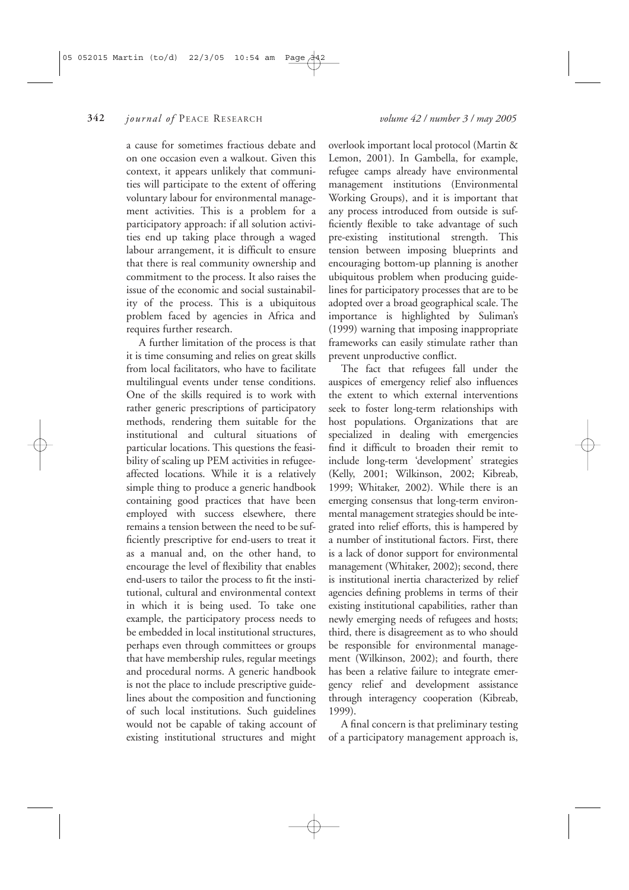a cause for sometimes fractious debate and on one occasion even a walkout. Given this context, it appears unlikely that communities will participate to the extent of offering voluntary labour for environmental management activities. This is a problem for a participatory approach: if all solution activities end up taking place through a waged labour arrangement, it is difficult to ensure that there is real community ownership and commitment to the process. It also raises the issue of the economic and social sustainability of the process. This is a ubiquitous problem faced by agencies in Africa and requires further research.

A further limitation of the process is that it is time consuming and relies on great skills from local facilitators, who have to facilitate multilingual events under tense conditions. One of the skills required is to work with rather generic prescriptions of participatory methods, rendering them suitable for the institutional and cultural situations of particular locations. This questions the feasibility of scaling up PEM activities in refugeeaffected locations. While it is a relatively simple thing to produce a generic handbook containing good practices that have been employed with success elsewhere, there remains a tension between the need to be sufficiently prescriptive for end-users to treat it as a manual and, on the other hand, to encourage the level of flexibility that enables end-users to tailor the process to fit the institutional, cultural and environmental context in which it is being used. To take one example, the participatory process needs to be embedded in local institutional structures, perhaps even through committees or groups that have membership rules, regular meetings and procedural norms. A generic handbook is not the place to include prescriptive guidelines about the composition and functioning of such local institutions. Such guidelines would not be capable of taking account of existing institutional structures and might

overlook important local protocol (Martin & Lemon, 2001). In Gambella, for example, refugee camps already have environmental management institutions (Environmental Working Groups), and it is important that any process introduced from outside is sufficiently flexible to take advantage of such pre-existing institutional strength. This tension between imposing blueprints and encouraging bottom-up planning is another ubiquitous problem when producing guidelines for participatory processes that are to be adopted over a broad geographical scale. The importance is highlighted by Suliman's (1999) warning that imposing inappropriate frameworks can easily stimulate rather than prevent unproductive conflict.

The fact that refugees fall under the auspices of emergency relief also influences the extent to which external interventions seek to foster long-term relationships with host populations. Organizations that are specialized in dealing with emergencies find it difficult to broaden their remit to include long-term 'development' strategies (Kelly, 2001; Wilkinson, 2002; Kibreab, 1999; Whitaker, 2002). While there is an emerging consensus that long-term environmental management strategies should be integrated into relief efforts, this is hampered by a number of institutional factors. First, there is a lack of donor support for environmental management (Whitaker, 2002); second, there is institutional inertia characterized by relief agencies defining problems in terms of their existing institutional capabilities, rather than newly emerging needs of refugees and hosts; third, there is disagreement as to who should be responsible for environmental management (Wilkinson, 2002); and fourth, there has been a relative failure to integrate emergency relief and development assistance through interagency cooperation (Kibreab, 1999).

A final concern is that preliminary testing of a participatory management approach is,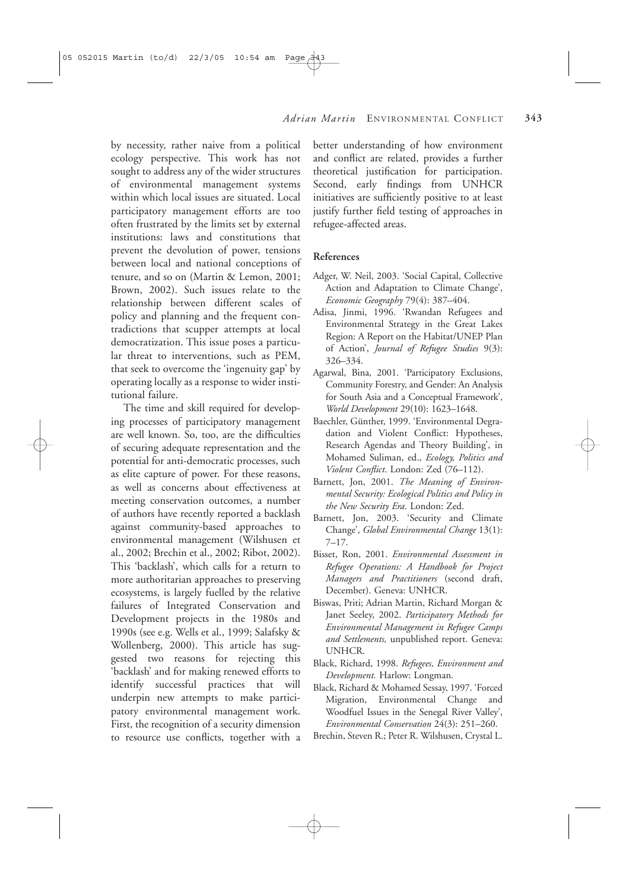by necessity, rather naive from a political ecology perspective. This work has not sought to address any of the wider structures of environmental management systems within which local issues are situated. Local participatory management efforts are too often frustrated by the limits set by external institutions: laws and constitutions that prevent the devolution of power, tensions between local and national conceptions of tenure, and so on (Martin & Lemon, 2001; Brown, 2002). Such issues relate to the relationship between different scales of policy and planning and the frequent contradictions that scupper attempts at local democratization. This issue poses a particular threat to interventions, such as PEM, that seek to overcome the 'ingenuity gap' by operating locally as a response to wider institutional failure.

The time and skill required for developing processes of participatory management are well known. So, too, are the difficulties of securing adequate representation and the potential for anti-democratic processes, such as elite capture of power. For these reasons, as well as concerns about effectiveness at meeting conservation outcomes, a number of authors have recently reported a backlash against community-based approaches to environmental management (Wilshusen et al., 2002; Brechin et al., 2002; Ribot, 2002). This 'backlash', which calls for a return to more authoritarian approaches to preserving ecosystems, is largely fuelled by the relative failures of Integrated Conservation and Development projects in the 1980s and 1990s (see e.g. Wells et al., 1999; Salafsky & Wollenberg, 2000). This article has suggested two reasons for rejecting this 'backlash' and for making renewed efforts to identify successful practices that will underpin new attempts to make participatory environmental management work. First, the recognition of a security dimension to resource use conflicts, together with a

better understanding of how environment and conflict are related, provides a further theoretical justification for participation. Second, early findings from UNHCR initiatives are sufficiently positive to at least justify further field testing of approaches in refugee-affected areas.

#### **References**

- Adger, W. Neil, 2003. 'Social Capital, Collective Action and Adaptation to Climate Change', *Economic Geography* 79(4): 387–404.
- Adisa, Jinmi, 1996. 'Rwandan Refugees and Environmental Strategy in the Great Lakes Region: A Report on the Habitat/UNEP Plan of Action', *Journal of Refugee Studies* 9(3): 326–334.
- Agarwal, Bina, 2001. 'Participatory Exclusions, Community Forestry, and Gender: An Analysis for South Asia and a Conceptual Framework', *World Development* 29(10): 1623–1648.
- Baechler, Günther, 1999. 'Environmental Degradation and Violent Conflict: Hypotheses, Research Agendas and Theory Building', in Mohamed Suliman, ed., *Ecology, Politics and Violent Conflict*. London: Zed (76–112).
- Barnett, Jon, 2001. *The Meaning of Environmental Security: Ecological Politics and Policy in the New Security Era*. London: Zed.
- Barnett, Jon, 2003. 'Security and Climate Change', *Global Environmental Change* 13(1): 7–17.
- Bisset, Ron, 2001. *Environmental Assessment in Refugee Operations: A Handbook for Project Managers and Practitioners* (second draft, December). Geneva: UNHCR.
- Biswas, Priti; Adrian Martin, Richard Morgan & Janet Seeley, 2002. *Participatory Methods for Environmental Management in Refugee Camps and Settlements,* unpublished report. Geneva: UNHCR.
- Black, Richard, 1998. *Refugees, Environment and Development.* Harlow: Longman.
- Black, Richard & Mohamed Sessay, 1997. 'Forced Migration, Environmental Change and Woodfuel Issues in the Senegal River Valley', *Environmental Conservation* 24(3): 251–260.
- Brechin, Steven R.; Peter R. Wilshusen, Crystal L.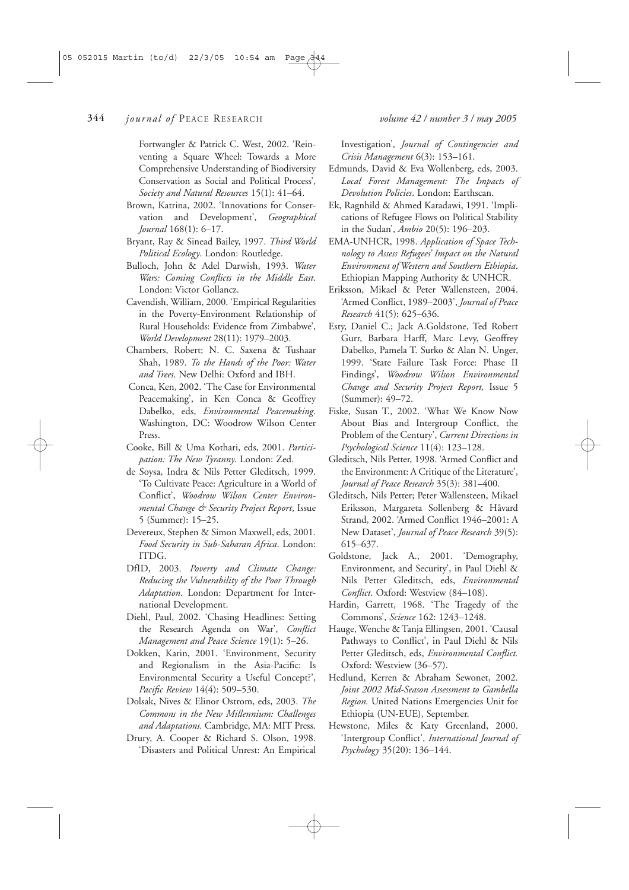Fortwangler & Patrick C. West, 2002. 'Reinventing a Square Wheel: Towards a More Comprehensive Understanding of Biodiversity Conservation as Social and Political Process', *Society and Natural Resources* 15(1): 41–64.

- Brown, Katrina, 2002. 'Innovations for Conservation and Development', *Geographical Journal* 168(1): 6–17.
- Bryant, Ray & Sinead Bailey, 1997. *Third World Political Ecology*. London: Routledge.
- Bulloch, John & Adel Darwish, 1993. *Water Wars: Coming Conflicts in the Middle East*. London: Victor Gollancz.
- Cavendish, William, 2000. 'Empirical Regularities in the Poverty-Environment Relationship of Rural Households: Evidence from Zimbabwe', *World Development* 28(11): 1979–2003.
- Chambers, Robert; N. C. Saxena & Tushaar Shah, 1989. *To the Hands of the Poor: Water and Trees*. New Delhi: Oxford and IBH.
- Conca, Ken, 2002. 'The Case for Environmental Peacemaking', in Ken Conca & Geoffrey Dabelko, eds, *Environmental Peacemaking*. Washington, DC: Woodrow Wilson Center Press.
- Cooke, Bill & Uma Kothari, eds, 2001. *Participation: The New Tyranny*. London: Zed.
- de Soysa, Indra & Nils Petter Gleditsch, 1999. 'To Cultivate Peace: Agriculture in a World of Conflict', *Woodrow Wilson Center Environmental Change & Security Project Report*, Issue 5 (Summer): 15–25.
- Devereux, Stephen & Simon Maxwell, eds, 2001. *Food Security in Sub-Saharan Africa*. London: ITDG.
- DfID, 2003. *Poverty and Climate Change: Reducing the Vulnerability of the Poor Through Adaptation*. London: Department for International Development.
- Diehl, Paul, 2002. 'Chasing Headlines: Setting the Research Agenda on War', *Conflict Management and Peace Science* 19(1): 5–26.
- Dokken, Karin, 2001. 'Environment, Security and Regionalism in the Asia-Pacific: Is Environmental Security a Useful Concept?', *Pacific Review* 14(4): 509–530.
- Dolsak, Nives & Elinor Ostrom, eds, 2003. *The Commons in the New Millennium: Challenges and Adaptations.* Cambridge, MA: MIT Press.
- Drury, A. Cooper & Richard S. Olson, 1998. 'Disasters and Political Unrest: An Empirical

Investigation', *Journal of Contingencies and Crisis Management* 6(3): 153–161.

- Edmunds, David & Eva Wollenberg, eds, 2003. *Local Forest Management: The Impacts of Devolution Policies*. London: Earthscan.
- Ek, Ragnhild & Ahmed Karadawi, 1991. 'Implications of Refugee Flows on Political Stability in the Sudan', *Ambio* 20(5): 196–203.
- EMA-UNHCR, 1998. *Application of Space Technology to Assess Refugees' Impact on the Natural Environment of Western and Southern Ethiopia*. Ethiopian Mapping Authority & UNHCR.
- Eriksson, Mikael & Peter Wallensteen, 2004. 'Armed Conflict, 1989–2003', *Journal of Peace Research* 41(5): 625–636.
- Esty, Daniel C.; Jack A.Goldstone, Ted Robert Gurr, Barbara Harff, Marc Levy, Geoffrey Dabelko, Pamela T. Surko & Alan N. Unger, 1999. 'State Failure Task Force: Phase II Findings', *Woodrow Wilson Environmental Change and Security Project Report,* Issue 5 (Summer): 49–72.
- Fiske, Susan T., 2002. 'What We Know Now About Bias and Intergroup Conflict, the Problem of the Century', *Current Directions in Psychological Science* 11(4): 123–128.
- Gleditsch, Nils Petter, 1998. 'Armed Conflict and the Environment: A Critique of the Literature', *Journal of Peace Research* 35(3): 381–400.
- Gleditsch, Nils Petter; Peter Wallensteen, Mikael Eriksson, Margareta Sollenberg & Håvard Strand, 2002. 'Armed Conflict 1946–2001: A New Dataset', *Journal of Peace Research* 39(5): 615–637.
- Goldstone, Jack A., 2001. 'Demography, Environment, and Security', in Paul Diehl & Nils Petter Gleditsch, eds, *Environmental Conflict*. Oxford: Westview (84–108).
- Hardin, Garrett, 1968. 'The Tragedy of the Commons', *Science* 162: 1243–1248.
- Hauge, Wenche & Tanja Ellingsen, 2001. 'Causal Pathways to Conflict', in Paul Diehl & Nils Petter Gleditsch, eds, *Environmental Conflict.* Oxford: Westview (36–57).
- Hedlund, Kerren & Abraham Sewonet, 2002. *Joint 2002 Mid-Season Assessment to Gambella Region.* United Nations Emergencies Unit for Ethiopia (UN-EUE), September.
- Hewstone, Miles & Katy Greenland, 2000. 'Intergroup Conflict', *International Journal of Psychology* 35(20): 136–144.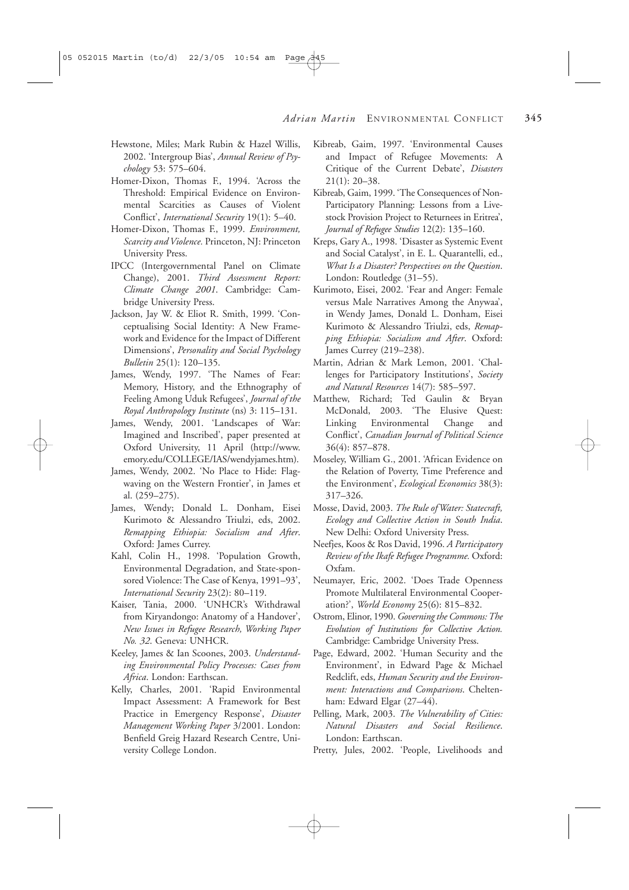- Hewstone, Miles; Mark Rubin & Hazel Willis, 2002. 'Intergroup Bias', *Annual Review of Psychology* 53: 575–604.
- Homer-Dixon, Thomas F., 1994. 'Across the Threshold: Empirical Evidence on Environmental Scarcities as Causes of Violent Conflict', *International Security* 19(1): 5–40.
- Homer-Dixon, Thomas F., 1999. *Environment, Scarcity and Violence.* Princeton, NJ: Princeton University Press.
- IPCC (Intergovernmental Panel on Climate Change), 2001. *Third Assessment Report: Climate Change 2001*. Cambridge: Cambridge University Press.
- Jackson, Jay W. & Eliot R. Smith, 1999. 'Conceptualising Social Identity: A New Framework and Evidence for the Impact of Different Dimensions', *Personality and Social Psychology Bulletin* 25(1): 120–135.
- James, Wendy, 1997. 'The Names of Fear: Memory, History, and the Ethnography of Feeling Among Uduk Refugees', *Journal of the Royal Anthropology Institute* (ns) 3: 115–131.
- James, Wendy, 2001. 'Landscapes of War: Imagined and Inscribed', paper presented at Oxford University, 11 April (http://www. emory.edu/COLLEGE/IAS/wendyjames.htm).
- James, Wendy, 2002. 'No Place to Hide: Flagwaving on the Western Frontier', in James et al. (259–275).
- James, Wendy; Donald L. Donham, Eisei Kurimoto & Alessandro Triulzi, eds, 2002. *Remapping Ethiopia: Socialism and After*. Oxford: James Currey.
- Kahl, Colin H., 1998. 'Population Growth, Environmental Degradation, and State-sponsored Violence: The Case of Kenya, 1991–93', *International Security* 23(2): 80–119.
- Kaiser, Tania, 2000. 'UNHCR's Withdrawal from Kiryandongo: Anatomy of a Handover', *New Issues in Refugee Research, Working Paper No. 32*. Geneva: UNHCR.
- Keeley, James & Ian Scoones, 2003. *Understanding Environmental Policy Processes: Cases from Africa*. London: Earthscan.
- Kelly, Charles, 2001. 'Rapid Environmental Impact Assessment: A Framework for Best Practice in Emergency Response', *Disaster Management Working Paper* 3/2001. London: Benfield Greig Hazard Research Centre, University College London.
- Kibreab, Gaim, 1997. 'Environmental Causes and Impact of Refugee Movements: A Critique of the Current Debate', *Disasters* 21(1): 20–38.
- Kibreab, Gaim, 1999. 'The Consequences of Non-Participatory Planning: Lessons from a Livestock Provision Project to Returnees in Eritrea', *Journal of Refugee Studies* 12(2): 135–160.
- Kreps, Gary A., 1998. 'Disaster as Systemic Event and Social Catalyst', in E. L. Quarantelli, ed., *What Is a Disaster? Perspectives on the Question*. London: Routledge (31–55).
- Kurimoto, Eisei, 2002. 'Fear and Anger: Female versus Male Narratives Among the Anywaa', in Wendy James, Donald L. Donham, Eisei Kurimoto & Alessandro Triulzi, eds, *Remapping Ethiopia: Socialism and After*. Oxford: James Currey (219–238).
- Martin, Adrian & Mark Lemon, 2001. 'Challenges for Participatory Institutions', *Society and Natural Resources* 14(7): 585–597.
- Matthew, Richard; Ted Gaulin & Bryan McDonald, 2003. 'The Elusive Quest: Linking Environmental Change and Conflict', *Canadian Journal of Political Science* 36(4): 857–878.
- Moseley, William G., 2001. 'African Evidence on the Relation of Poverty, Time Preference and the Environment', *Ecological Economics* 38(3): 317–326.
- Mosse, David, 2003. *The Rule of Water: Statecraft, Ecology and Collective Action in South India*. New Delhi: Oxford University Press.
- Neefjes, Koos & Ros David, 1996. *A Participatory Review of the Ikafe Refugee Programme.* Oxford: Oxfam.
- Neumayer, Eric, 2002. 'Does Trade Openness Promote Multilateral Environmental Cooperation?', *World Economy* 25(6): 815–832.
- Ostrom, Elinor, 1990. *Governing the Commons: The Evolution of Institutions for Collective Action.* Cambridge: Cambridge University Press.
- Page, Edward, 2002. 'Human Security and the Environment', in Edward Page & Michael Redclift, eds, *Human Security and the Environment: Interactions and Comparisons*. Cheltenham: Edward Elgar (27–44).
- Pelling, Mark, 2003. *The Vulnerability of Cities: Natural Disasters and Social Resilience*. London: Earthscan.
- Pretty, Jules, 2002. 'People, Livelihoods and